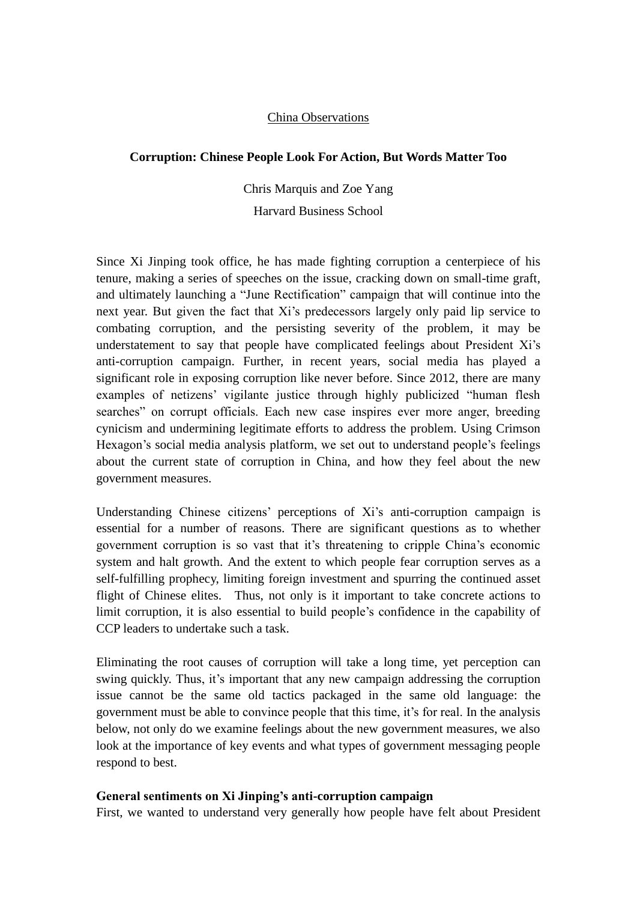## China Observations

## **Corruption: Chinese People Look For Action, But Words Matter Too**

Chris Marquis and Zoe Yang Harvard Business School

Since Xi Jinping took office, he has made fighting corruption a centerpiece of his tenure, making a series of speeches on the issue, cracking down on small-time graft, and ultimately launching a "June Rectification" campaign that will continue into the next year. But given the fact that Xi's predecessors largely only paid lip service to combating corruption, and the persisting severity of the problem, it may be understatement to say that people have complicated feelings about President Xi's anti-corruption campaign. Further, in recent years, social media has played a significant role in exposing corruption like never before. Since 2012, there are many examples of netizens' vigilante justice through highly publicized "human flesh searches" on corrupt officials. Each new case inspires ever more anger, breeding cynicism and undermining legitimate efforts to address the problem. Using Crimson Hexagon's social media analysis platform, we set out to understand people's feelings about the current state of corruption in China, and how they feel about the new government measures.

Understanding Chinese citizens' perceptions of Xi's anti-corruption campaign is essential for a number of reasons. There are significant questions as to whether government corruption is so vast that it's threatening to cripple China's economic system and halt growth. And the extent to which people fear corruption serves as a self-fulfilling prophecy, limiting foreign investment and spurring the continued asset flight of Chinese elites. Thus, not only is it important to take concrete actions to limit corruption, it is also essential to build people's confidence in the capability of CCP leaders to undertake such a task.

Eliminating the root causes of corruption will take a long time, yet perception can swing quickly. Thus, it's important that any new campaign addressing the corruption issue cannot be the same old tactics packaged in the same old language: the government must be able to convince people that this time, it's for real. In the analysis below, not only do we examine feelings about the new government measures, we also look at the importance of key events and what types of government messaging people respond to best.

## **General sentiments on Xi Jinping's anti-corruption campaign**

First, we wanted to understand very generally how people have felt about President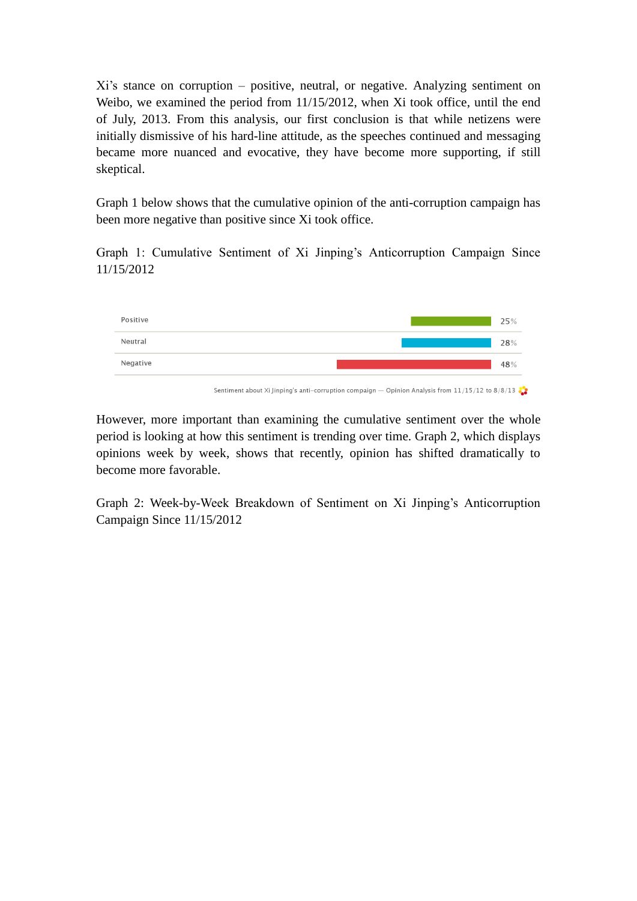Xi's stance on corruption – positive, neutral, or negative. Analyzing sentiment on Weibo, we examined the period from 11/15/2012, when Xi took office, until the end of July, 2013. From this analysis, our first conclusion is that while netizens were initially dismissive of his hard-line attitude, as the speeches continued and messaging became more nuanced and evocative, they have become more supporting, if still skeptical.

Graph 1 below shows that the cumulative opinion of the anti-corruption campaign has been more negative than positive since Xi took office.

Graph 1: Cumulative Sentiment of Xi Jinping's Anticorruption Campaign Since 11/15/2012



Sentiment about Xi Jinping's anti-corruption compaign — Opinion Analysis from 11/15/12 to 8/8/13

However, more important than examining the cumulative sentiment over the whole period is looking at how this sentiment is trending over time. Graph 2, which displays opinions week by week, shows that recently, opinion has shifted dramatically to become more favorable.

Graph 2: Week-by-Week Breakdown of Sentiment on Xi Jinping's Anticorruption Campaign Since 11/15/2012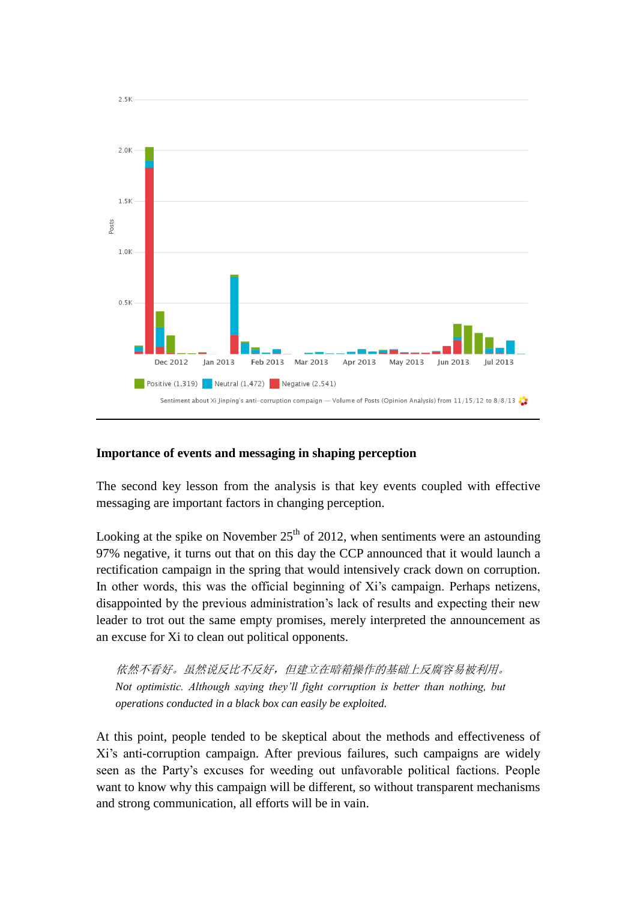

## **Importance of events and messaging in shaping perception**

The second key lesson from the analysis is that key events coupled with effective messaging are important factors in changing perception.

Looking at the spike on November  $25<sup>th</sup>$  of 2012, when sentiments were an astounding 97% negative, it turns out that on this day the CCP announced that it would launch a rectification campaign in the spring that would intensively crack down on corruption. In other words, this was the official beginning of Xi's campaign. Perhaps netizens, disappointed by the previous administration's lack of results and expecting their new leader to trot out the same empty promises, merely interpreted the announcement as an excuse for Xi to clean out political opponents.

依然不看好。虽然说反比不反好,但建立在暗箱操作的基础上反腐容易被利用。 *Not optimistic. Although saying they'll fight corruption is better than nothing, but operations conducted in a black box can easily be exploited.* 

At this point, people tended to be skeptical about the methods and effectiveness of Xi's anti-corruption campaign. After previous failures, such campaigns are widely seen as the Party's excuses for weeding out unfavorable political factions. People want to know why this campaign will be different, so without transparent mechanisms and strong communication, all efforts will be in vain.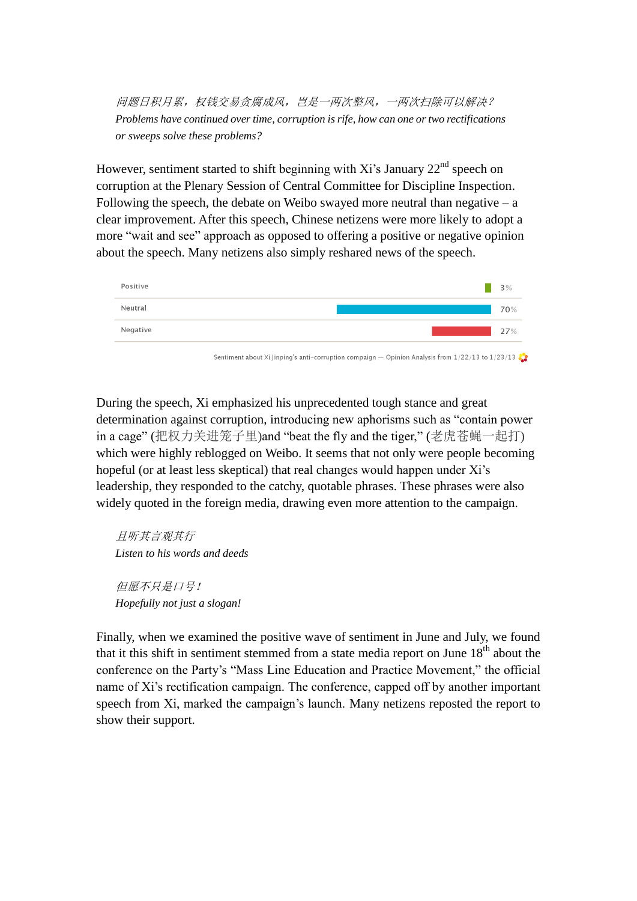问题日积月累,权钱交易贪腐成风,岂是一两次整风,一两次扫除可以解决? *Problems have continued over time, corruption is rife, how can one or two rectifications or sweeps solve these problems?* 

However, sentiment started to shift beginning with Xi's January  $22<sup>nd</sup>$  speech on corruption at the Plenary Session of Central Committee for Discipline Inspection. Following the speech, the debate on Weibo swayed more neutral than negative  $- a$ clear improvement. After this speech, Chinese netizens were more likely to adopt a more "wait and see" approach as opposed to offering a positive or negative opinion about the speech. Many netizens also simply reshared news of the speech.



During the speech, Xi emphasized his unprecedented tough stance and great determination against corruption, introducing new aphorisms such as "contain power in a cage" (把权力关进笼子里)and "beat the fly and the tiger," (老虎苍蝇一起打) which were highly reblogged on Weibo. It seems that not only were people becoming hopeful (or at least less skeptical) that real changes would happen under Xi's leadership, they responded to the catchy, quotable phrases. These phrases were also widely quoted in the foreign media, drawing even more attention to the campaign.

且听其言观其行 *Listen to his words and deeds*

但愿不只是口号! *Hopefully not just a slogan!*

Finally, when we examined the positive wave of sentiment in June and July, we found that it this shift in sentiment stemmed from a state media report on June  $18<sup>th</sup>$  about the conference on the Party's "Mass Line Education and Practice Movement," the official name of Xi's rectification campaign. The conference, capped off by another important speech from Xi, marked the campaign's launch. Many netizens reposted the report to show their support.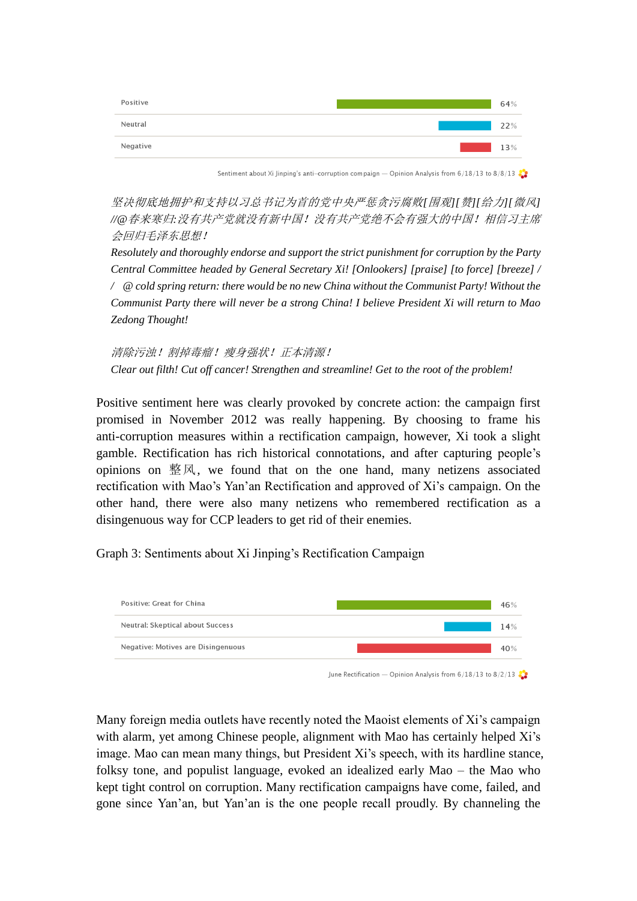

Sentiment about Xi Jinping's anti-corruption compaign — Opinion Analysis from 6/18/13 to 8/8/13

坚决彻底地拥护和支持以习总书记为首的党中央严惩贪污腐败*[*围观*][*赞*][*给力*][*微风*] //@*春来寒归*:*没有共产党就没有新中国!没有共产党绝不会有强大的中国!相信习主席 会回归毛泽东思想!

*Resolutely and thoroughly endorse and support the strict punishment for corruption by the Party Central Committee headed by General Secretary Xi! [Onlookers] [praise] [to force] [breeze] / / @ cold spring return: there would be no new China without the Communist Party! Without the Communist Party there will never be a strong China! I believe President Xi will return to Mao Zedong Thought!*

清除污浊!割掉毒瘤!瘦身强状!正本清源! *Clear out filth! Cut off cancer! Strengthen and streamline! Get to the root of the problem!*

Positive sentiment here was clearly provoked by concrete action: the campaign first promised in November 2012 was really happening. By choosing to frame his anti-corruption measures within a rectification campaign, however, Xi took a slight gamble. Rectification has rich historical connotations, and after capturing people's opinions on  $\mathbb{R}\times$ , we found that on the one hand, many netizens associated rectification with Mao's Yan'an Rectification and approved of Xi's campaign. On the other hand, there were also many netizens who remembered rectification as a disingenuous way for CCP leaders to get rid of their enemies.

Graph 3: Sentiments about Xi Jinping's Rectification Campaign



June Rectification — Opinion Analysis from  $6/18/13$  to  $8/2/13$ 

Many foreign media outlets have recently noted the Maoist elements of Xi's campaign with alarm, yet among Chinese people, alignment with Mao has certainly helped Xi's image. Mao can mean many things, but President Xi's speech, with its hardline stance, folksy tone, and populist language, evoked an idealized early Mao – the Mao who kept tight control on corruption. Many rectification campaigns have come, failed, and gone since Yan'an, but Yan'an is the one people recall proudly. By channeling the